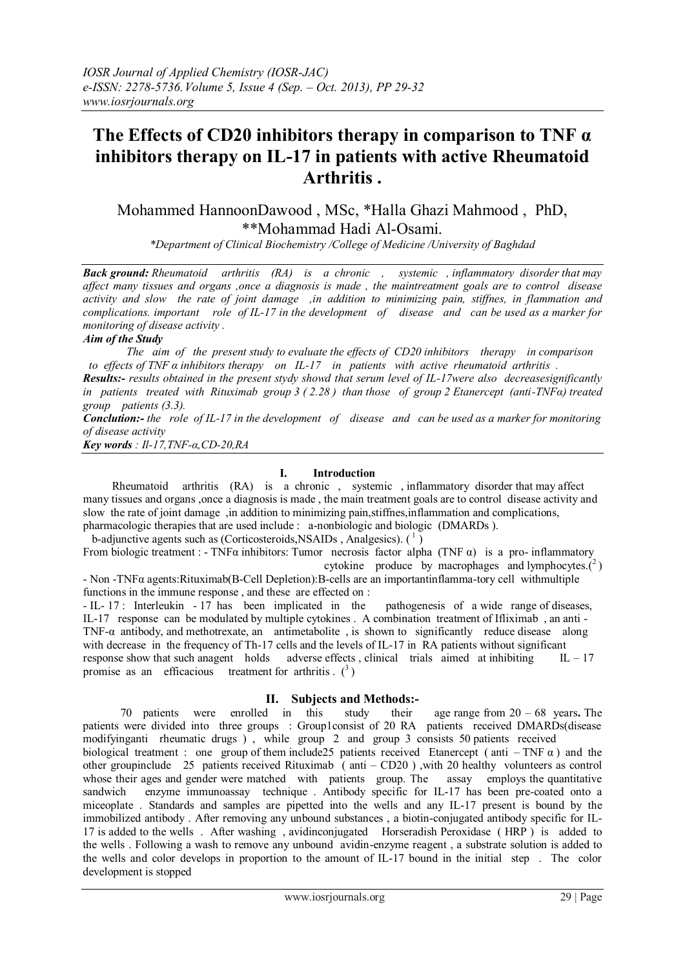# **The Effects of CD20 inhibitors therapy in comparison to TNF α inhibitors therapy on IL-17 in patients with active Rheumatoid Arthritis .**

Mohammed HannoonDawood , MSc, \*Halla Ghazi Mahmood , PhD, \*\*Mohammad Hadi Al-Osami.

*\*Department of Clinical Biochemistry /College of Medicine /University of Baghdad*

*Back ground: Rheumatoid arthritis (RA) is a chronic , systemic , inflammatory disorder that may affect many tissues and organs ,once a diagnosis is made , the maintreatment goals are to control disease activity and slow the rate of joint damage ,in addition to minimizing pain, stiffnes, in flammation and complications. important role of IL-17 in the development of disease and can be used as a marker for monitoring of disease activity .*

# *Aim of the Study*

 *The aim of the present study to evaluate the effects of CD20 inhibitors therapy in comparison to effects of TNF α inhibitors therapy on IL-17 in patients with active rheumatoid arthritis .*

*Results:- results obtained in the present stydy showd that serum level of IL-17were also decreasesignificantly in patients treated with Rituximab group 3 ( 2.28 ) than those of group 2 Etanercept (anti-TNFα) treated group patients (3.3).*

*Conclution:- the role of IL-17 in the development of disease and can be used as a marker for monitoring of disease activity*

*Key words : Il-17,TNF-α,CD-20,RA*

### **I. Introduction**

 Rheumatoid arthritis (RA) is a chronic , systemic , inflammatory disorder that may affect many tissues and organs ,once a diagnosis is made , the main treatment goals are to control disease activity and slow the rate of joint damage ,in addition to minimizing pain,stiffnes,inflammation and complications, pharmacologic therapies that are used include : a-nonbiologic and biologic (DMARDs ).

b-adjunctive agents such as (Corticosteroids, NSAIDs, Analgesics).  $(1)$ 

From biologic treatment : - TNF $\alpha$  inhibitors: Tumor necrosis factor alpha (TNF $\alpha$ ) is a pro- inflammatory cytokine produce by macrophages and lymphocytes. $(^2)$ 

- Non -TNFα agents:Rituximab(B-Cell Depletion):B-cells are an importantinflamma-tory cell withmultiple functions in the immune response , and these are effected on :

- IL- 17 : Interleukin - 17 has been implicated in the pathogenesis of a wide range of diseases, IL-17 response can be modulated by multiple cytokines . A combination treatment of Ifliximab , an anti - TNF-α antibody, and methotrexate, an antimetabolite , is shown to significantly reduce disease along with decrease in the frequency of Th-17 cells and the levels of IL-17 in RA patients without significant response show that such anagent holds adverse effects, clinical trials aimed at inhibiting  $IL - 17$ promise as an efficacious treatment for arthritis  $\binom{3}{2}$ 

# **II. Subjects and Methods:-**

 70 patients were enrolled in this study their age range from 20 – 68 years**.** The patients were divided into three groups : Group1consist of 20 RA patients received DMARDs(disease modifyinganti rheumatic drugs ) , while group 2 and group 3 consists 50 patients received

biological treatment : one group of them include 25 patients received Etanercept (anti – TNF  $\alpha$ ) and the other groupinclude 25 patients received Rituximab (anti – CD20) with 20 healthy volunteers as control whose their ages and gender were matched with patients group. The assay employs the quantitative sandwich enzyme immunoassay technique. Antibody specific for IL-17 has been pre-coated onto a miceoplate . Standards and samples are pipetted into the wells and any IL-17 present is bound by the immobilized antibody . After removing any unbound substances , a biotin-conjugated antibody specific for IL-17 is added to the wells . After washing , avidinconjugated Horseradish Peroxidase ( HRP ) is added to the wells . Following a wash to remove any unbound avidin-enzyme reagent , a substrate solution is added to the wells and color develops in proportion to the amount of IL-17 bound in the initial step . The color development is stopped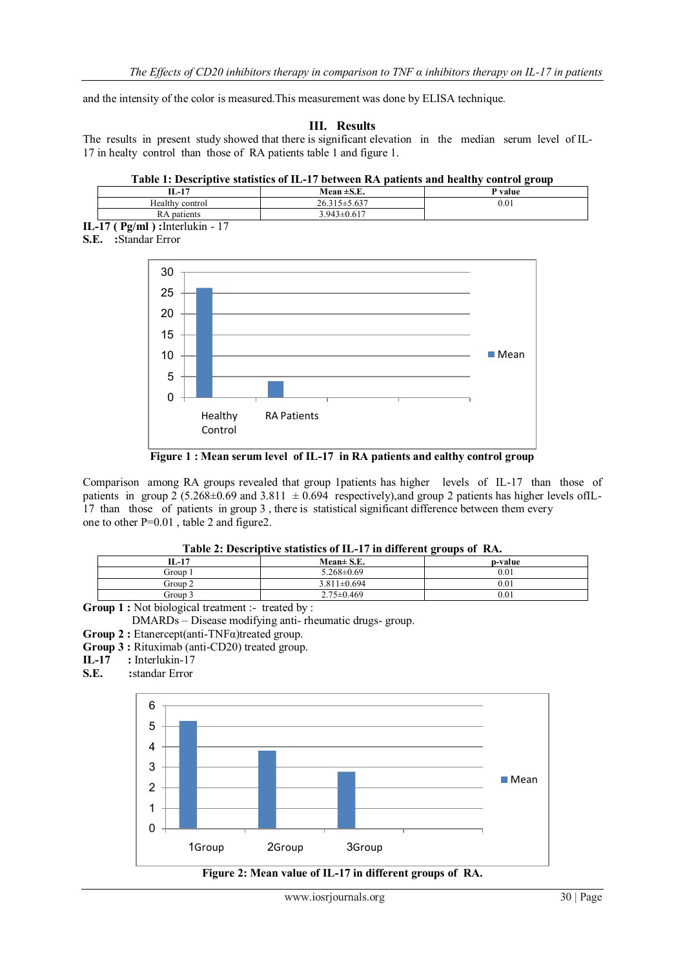and the intensity of the color is measured.This measurement was done by ELISA technique.

```
III. Results
```
The results in present study showed that there is significant elevation in the median serum level of IL-17 in healty control than those of RA patients table 1 and figure 1.

### **Table 1: Descriptive statistics of IL-17 between RA patients and healthy control group**

| íL-17           | Mean $\pm$ S.E.         | P value   |
|-----------------|-------------------------|-----------|
| Healthy control | 1.5.7.77<br>26.3<br>.03 | $_{0.01}$ |
| patients<br>IV. | $3.943 \pm 0.617$       |           |

**IL-17 ( Pg/ml ) :**Interlukin - 17 **S.E. :**Standar Error



**Figure 1 : Mean serum level of IL-17 in RA patients and ealthy control group**

Comparison among RA groups revealed that group 1patients has higher levels of IL-17 than those of patients in group 2 (5.268 $\pm$ 0.69 and 3.811  $\pm$  0.694 respectively), and group 2 patients has higher levels ofIL-17 than those of patients in group 3 , there is statistical significant difference between them every one to other P=0.01 , table 2 and figure2.

# **Table 2: Descriptive statistics of IL-17 in different groups of RA.**

| -----------------<br>-----<br>--------------<br>--------- |                   |         |  |  |
|-----------------------------------------------------------|-------------------|---------|--|--|
| IL-17                                                     | $Mean \pm S.E.$   | p-value |  |  |
| Group 1                                                   | $5.268 \pm 0.69$  | 0.01    |  |  |
| Group 2                                                   | $3.811 \pm 0.694$ | 0.01    |  |  |
| Group 3                                                   | $2.75 \pm 0.469$  | 0.01    |  |  |
| $-4$ $-3$ $+1$ $-1$ $-1$ $-1$ $-1$<br>. . 11              |                   |         |  |  |

**Group 1 :** Not biological treatment :- treated by :

DMARDs – Disease modifying anti- rheumatic drugs- group.

- **Group 2 :** Etanercept(anti-TNFα)treated group.
- **Group 3 :** Rituximab (anti-CD20) treated group.
- **IL-17** : Interlukin-17<br>**S.E.** : standar Error
- **S.E. :**standar Error



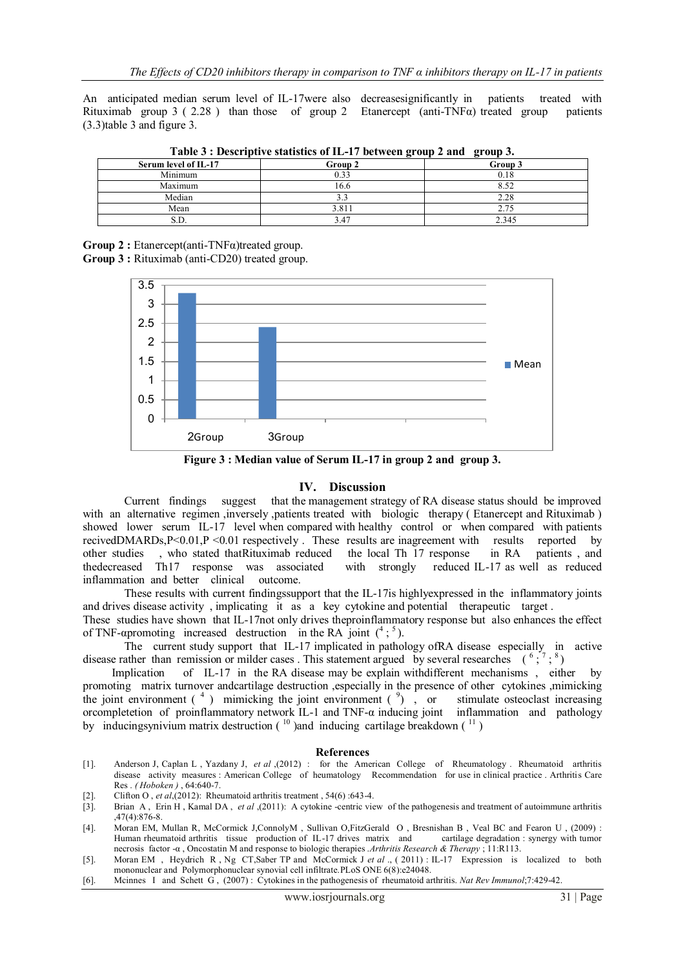An anticipated median serum level of IL-17were also decreasesignificantly in patients treated with Rituximab group 3 ( 2.28 ) than those of group 2 Etanercept (anti-TNF $\alpha$ ) treated group patients (3.3)table 3 and figure 3.

| Table $\sigma$ : Descriptive statistics of 12 T/ between group 2 and group $\sigma$ . |         |         |  |  |
|---------------------------------------------------------------------------------------|---------|---------|--|--|
| Serum level of IL-17                                                                  | Group 2 | Group 3 |  |  |
| Minimum                                                                               | 0.33    | 0.18    |  |  |
| Maximum                                                                               | 16.6    | 8.52    |  |  |
| Median                                                                                |         | 2.28    |  |  |
| Mean                                                                                  | 3.811   | 2.75    |  |  |
| O.D.                                                                                  | 3.47    | 2.345   |  |  |

**Table 3 : Descriptive statistics of IL-17 between group 2 and group 3.**

**Group 2 :** Etanercept(anti-TNFα)treated group. **Group 3 :** Rituximab (anti-CD20) treated group.



**Figure 3 : Median value of Serum IL-17 in group 2 and group 3.**

#### **IV. Discussion**

Current findings suggest that the management strategy of RA disease status should be improved with an alternative regimen , inversely , patients treated with biologic therapy (Etanercept and Rituximab) showed lower serum IL-17 level when compared with healthy control or when compared with patients recivedDMARDs,P<0.01,P <0.01 respectively. These results are inagreement with results reported by other studies , who stated thatRituximab reduced the local Th 17 response in RA patients and other studies , who stated thatRituximab reduced the local Th 17 response in RA thedecreased Th17 response was associated with strongly reduced IL-17 as well as reduced inflammation and better clinical outcome.

 These results with current findingssupport that the IL-17is highlyexpressed in the inflammatory joints and drives disease activity , implicating it as a key cytokine and potential therapeutic target .

These studies have shown that IL-17not only drives theproinflammatory response but also enhances the effect of TNF-apromoting increased destruction in the RA joint  $({}^4; {}^5)$ .

 The current study support that IL-17 implicated in pathology ofRA disease especially in active disease rather than remission or milder cases . This statement argued by several researches  $({}^{6}$ ;  $^{7}$ ;  $^{8}$ )

 Implication of IL-17 in the RA disease may be explain withdifferent mechanisms , either by promoting matrix turnover andcartilage destruction ,especially in the presence of other cytokines ,mimicking the joint environment  $(4)$  mimicking the joint environment  $(9)$ , or stimulate osteoclast increasing orcompletetion of proinflammatory network IL-1 and TNF-α inducing joint inflammation and pathology by inducingsynivium matrix destruction  $(10)$  and inducing cartilage breakdown  $(11)$ 

#### **References**

- [1]. Anderson J, Caplan L , Yazdany J, *et al* ,(2012) : for the American College of Rheumatology . Rheumatoid arthritis disease activity measures : American College of heumatology Recommendation for use in clinical practice . Arthritis Care Res . *( Hoboken )* , 64:640-7.
- [2]. Clifton O, *et al*,(2012): Rheumatoid arthritis treatment, 54(6):643-4.<br>[3]. Brian A, Erin H, Kamal DA, *et al*,(2011): A cytokine-centric vie
- [3]. Brian A , Erin H , Kamal DA , *et al* ,(2011): A cytokine -centric view of the pathogenesis and treatment of autoimmune arthritis ,47(4):876-8.
- [4]. Moran EM, Mullan R, McCormick J,ConnolyM , Sullivan O,FitzGerald O , Bresnishan B , Veal BC and Fearon U , (2009) : Human rheumatoid arthritis tissue production of IL-17 drives matrix and cartilage degradation : synergy with tumor necrosis factor -α , Oncostatin M and response to biologic therapies .*Arthritis Research & Therapy* ; 11:R113.
- [5]. Moran EM , Heydrich R , Ng CT,Saber TP and McCormick J *et al* ., ( 2011) : IL-17 Expression is localized to both mononuclear and Polymorphonuclear synovial cell infiltrate.PLoS ONE 6(8):e24048.
- [6]. Mcinnes I and Schett G , (2007) : Cytokines in the pathogenesis of rheumatoid arthritis. *Nat Rev Immunol*;7:429-42.